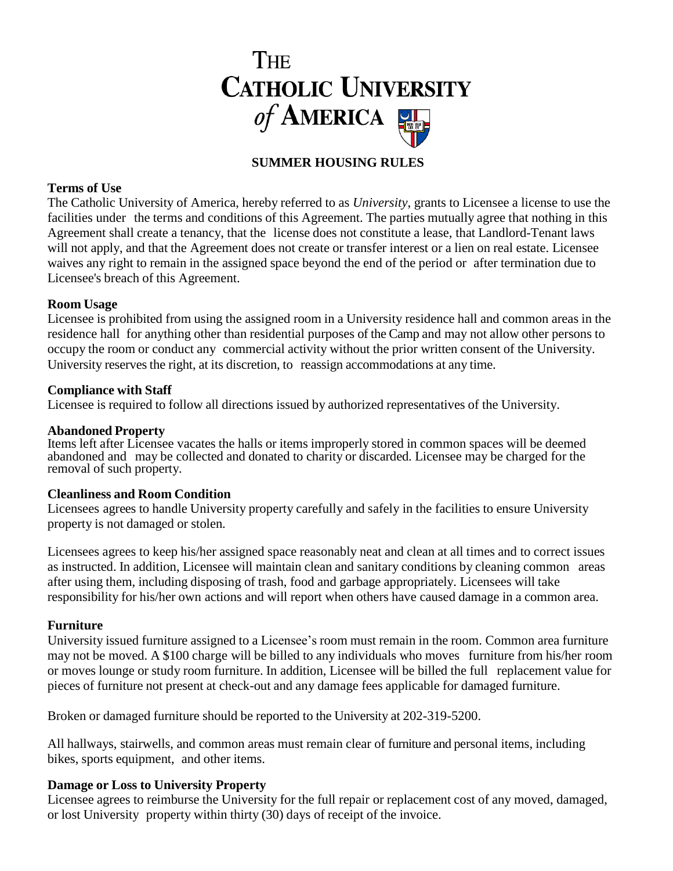

# **SUMMER HOUSING RULES**

### **Terms of Use**

The Catholic University of America, hereby referred to as *University*, grants to Licensee a license to use the facilities under the terms and conditions of this Agreement. The parties mutually agree that nothing in this Agreement shall create a tenancy, that the license does not constitute a lease, that Landlord-Tenant laws will not apply, and that the Agreement does not create or transfer interest or a lien on real estate. Licensee waives any right to remain in the assigned space beyond the end of the period or after termination due to Licensee's breach of this Agreement.

#### **Room Usage**

Licensee is prohibited from using the assigned room in a University residence hall and common areas in the residence hall for anything other than residential purposes of the Camp and may not allow other persons to occupy the room or conduct any commercial activity without the prior written consent of the University. University reserves the right, at its discretion, to reassign accommodations at any time.

#### **Compliance with Staff**

Licensee is required to follow all directions issued by authorized representatives of the University.

### **Abandoned Property**

Items left after Licensee vacates the halls or items improperly stored in common spaces will be deemed abandoned and may be collected and donated to charity or discarded. Licensee may be charged for the removal of such property.

#### **Cleanliness and Room Condition**

Licensees agrees to handle University property carefully and safely in the facilities to ensure University property is not damaged or stolen.

Licensees agrees to keep his/her assigned space reasonably neat and clean at all times and to correct issues as instructed. In addition, Licensee will maintain clean and sanitary conditions by cleaning common areas after using them, including disposing of trash, food and garbage appropriately. Licensees will take responsibility for his/her own actions and will report when others have caused damage in a common area.

#### **Furniture**

University issued furniture assigned to a Licensee's room must remain in the room. Common area furniture may not be moved. A \$100 charge will be billed to any individuals who moves furniture from his/her room or moves lounge or study room furniture. In addition, Licensee will be billed the full replacement value for pieces of furniture not present at check-out and any damage fees applicable for damaged furniture.

Broken or damaged furniture should be reported to the University at 202-319-5200.

All hallways, stairwells, and common areas must remain clear of furniture and personal items, including bikes, sports equipment, and other items.

## **Damage or Loss to University Property**

Licensee agrees to reimburse the University for the full repair or replacement cost of any moved, damaged, or lost University property within thirty (30) days of receipt of the invoice.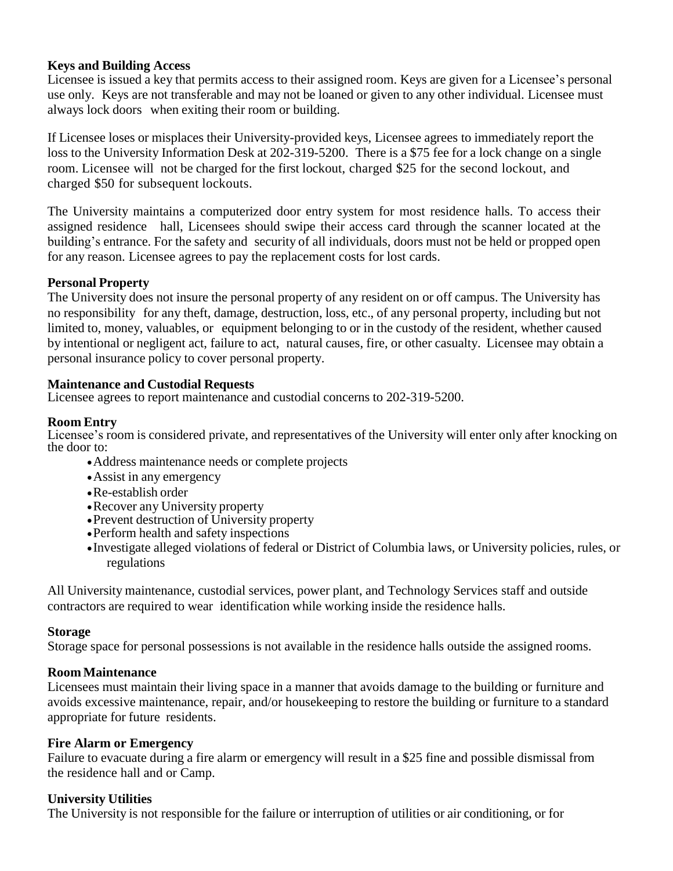## **Keys and Building Access**

Licensee is issued a key that permits access to their assigned room. Keys are given for a Licensee's personal use only. Keys are not transferable and may not be loaned or given to any other individual. Licensee must always lock doors when exiting their room or building.

If Licensee loses or misplaces their University-provided keys, Licensee agrees to immediately report the loss to the University Information Desk at 202-319-5200. There is a \$75 fee for a lock change on a single room. Licensee will not be charged for the first lockout, charged \$25 for the second lockout, and charged \$50 for subsequent lockouts.

The University maintains a computerized door entry system for most residence halls. To access their assigned residence hall, Licensees should swipe their access card through the scanner located at the building's entrance. For the safety and security of all individuals, doors must not be held or propped open for any reason. Licensee agrees to pay the replacement costs for lost cards.

## **Personal Property**

The University does not insure the personal property of any resident on or off campus. The University has no responsibility for any theft, damage, destruction, loss, etc., of any personal property, including but not limited to, money, valuables, or equipment belonging to or in the custody of the resident, whether caused by intentional or negligent act, failure to act, natural causes, fire, or other casualty. Licensee may obtain a personal insurance policy to cover personal property.

## **Maintenance and Custodial Requests**

Licensee agrees to report maintenance and custodial concerns to 202-319-5200.

## **Room Entry**

Licensee's room is considered private, and representatives of the University will enter only after knocking on the door to:

- Address maintenance needs or complete projects
- Assist in any emergency
- Re-establish order
- Recover any University property
- Prevent destruction of University property
- Perform health and safety inspections
- Investigate alleged violations of federal or District of Columbia laws, or University policies, rules, or regulations

All University maintenance, custodial services, power plant, and Technology Services staff and outside contractors are required to wear identification while working inside the residence halls.

## **Storage**

Storage space for personal possessions is not available in the residence halls outside the assigned rooms.

## **Room Maintenance**

Licensees must maintain their living space in a manner that avoids damage to the building or furniture and avoids excessive maintenance, repair, and/or housekeeping to restore the building or furniture to a standard appropriate for future residents.

## **Fire Alarm or Emergency**

Failure to evacuate during a fire alarm or emergency will result in a \$25 fine and possible dismissal from the residence hall and or Camp.

## **University Utilities**

The University is not responsible for the failure or interruption of utilities or air conditioning, or for